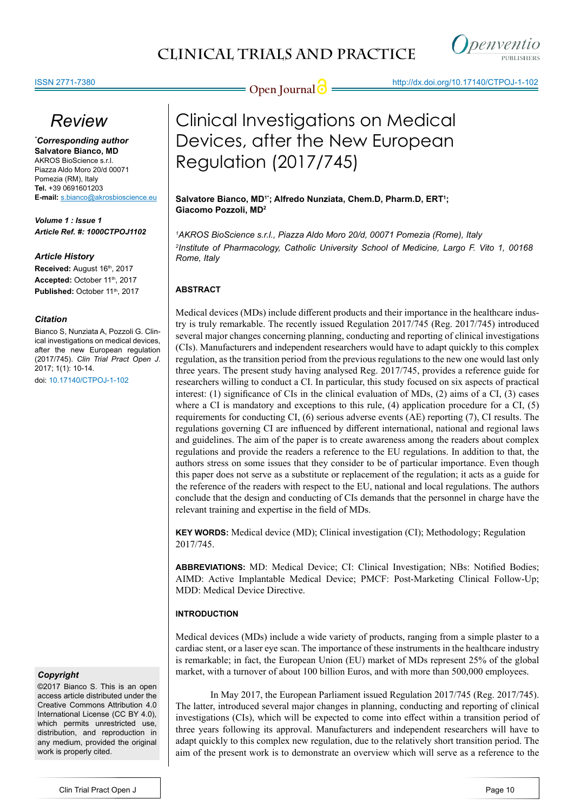



# *Review*

*\* Corresponding author* **Salvatore Bianco, MD** AKROS BioScience s.r.l. Piazza Aldo Moro 20/d 00071 Pomezia (RM), Italy **Tel.** +39 0691601203 **E-mail:** s.bianco@akrosbioscience.eu

*Volume 1 : Issue 1 Article Ref. #: 1000CTPOJ1102*

# *Article History*

Received: August 16th, 2017 Accepted: October 11<sup>th</sup>, 2017 Published: October 11<sup>th</sup>, 2017

# *Citation*

Bianco S, Nunziata A, Pozzoli G. Clinical investigations on medical devices, after the new European regulation (2017/745). *Clin Trial Pract Open J*. 2017; 1(1): 10-14.

doi: [10.17140/CTPOJ-1-102](http://dx.doi.org/10.17140/CTPOJ-1-102)

# *Copyright*

©2017 Bianco S. This is an open access article distributed under the Creative Commons Attribution 4.0 International License (CC BY 4.0), which permits unrestricted use, distribution, and reproduction in any medium, provided the original work is properly cited.



# Clinical Investigations on Medical Devices, after the New European Regulation (2017/745)

**Salvatore Bianco, MD1\*; Alfredo Nunziata, Chem.D, Pharm.D, ERT1 ; Giacomo Pozzoli, MD2**

*1 AKROS BioScience s.r.l., Piazza Aldo Moro 20/d, 00071 Pomezia (Rome), Italy 2 Institute of Pharmacology, Catholic University School of Medicine, Largo F. Vito 1, 00168 Rome, Italy*

# **ABSTRACT**

Medical devices (MDs) include different products and their importance in the healthcare industry is truly remarkable. The recently issued Regulation 2017/745 (Reg. 2017/745) introduced several major changes concerning planning, conducting and reporting of clinical investigations (CIs). Manufacturers and independent researchers would have to adapt quickly to this complex regulation, as the transition period from the previous regulations to the new one would last only three years. The present study having analysed Reg. 2017/745, provides a reference guide for researchers willing to conduct a CI. In particular, this study focused on six aspects of practical interest: (1) significance of CIs in the clinical evaluation of MDs, (2) aims of a CI, (3) cases where a CI is mandatory and exceptions to this rule, (4) application procedure for a CI, (5) requirements for conducting CI, (6) serious adverse events (AE) reporting (7), CI results. The regulations governing CI are influenced by different international, national and regional laws and guidelines. The aim of the paper is to create awareness among the readers about complex regulations and provide the readers a reference to the EU regulations. In addition to that, the authors stress on some issues that they consider to be of particular importance. Even though this paper does not serve as a substitute or replacement of the regulation; it acts as a guide for the reference of the readers with respect to the EU, national and local regulations. The authors conclude that the design and conducting of CIs demands that the personnel in charge have the relevant training and expertise in the field of MDs.

**KEY WORDS:** Medical device (MD); Clinical investigation (CI); Methodology; Regulation 2017/745.

**ABBREVIATIONS:** MD: Medical Device; CI: Clinical Investigation; NBs: Notified Bodies; AIMD: Active Implantable Medical Device; PMCF: Post-Marketing Clinical Follow-Up; MDD: Medical Device Directive.

# **INTRODUCTION**

Medical devices (MDs) include a wide variety of products, ranging from a simple plaster to a cardiac stent, or a laser eye scan. The importance of these instruments in the healthcare industry is remarkable; in fact, the European Union (EU) market of MDs represent 25% of the global market, with a turnover of about 100 billion Euros, and with more than 500,000 employees.

In May 2017, the European Parliament issued Regulation 2017/745 (Reg. 2017/745). The latter, introduced several major changes in planning, conducting and reporting of clinical investigations (CIs), which will be expected to come into effect within a transition period of three years following its approval. Manufacturers and independent researchers will have to adapt quickly to this complex new regulation, due to the relatively short transition period. The aim of the present work is to demonstrate an overview which will serve as a reference to the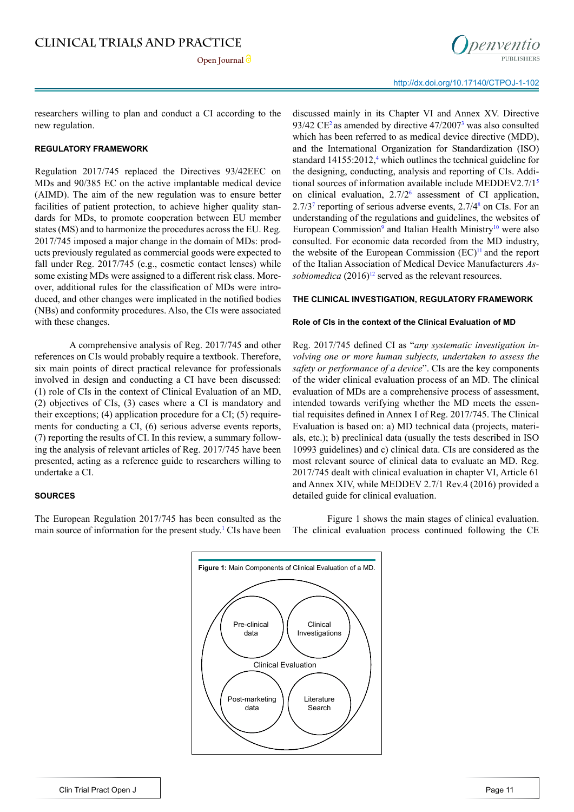

researchers willing to plan and conduct a CI according to the new regulation.

#### **REGULATORY FRAMEWORK**

Regulation 2017/745 replaced the Directives 93/42EEC on MDs and 90/385 EC on the active implantable medical device (AIMD). The aim of the new regulation was to ensure better facilities of patient protection, to achieve higher quality standards for MDs, to promote cooperation between EU member states (MS) and to harmonize the procedures across the EU. Reg. 2017/745 imposed a major change in the domain of MDs: products previously regulated as commercial goods were expected to fall under Reg. 2017/745 (e.g., cosmetic contact lenses) while some existing MDs were assigned to a different risk class. Moreover, additional rules for the classification of MDs were introduced, and other changes were implicated in the notified bodies (NBs) and conformity procedures. Also, the CIs were associated with these changes.

A comprehensive analysis of Reg. 2017/745 and other references on CIs would probably require a textbook. Therefore, six main points of direct practical relevance for professionals involved in design and conducting a CI have been discussed: (1) role of CIs in the context of Clinical Evaluation of an MD, (2) objectives of CIs, (3) cases where a CI is mandatory and their exceptions; (4) application procedure for a CI; (5) requirements for conducting a CI, (6) serious adverse events reports, (7) reporting the results of CI. In this review, a summary following the analysis of relevant articles of Reg. 2017/745 have been presented, acting as a reference guide to researchers willing to undertake a CI.

### **SOURCES**

The European Regulation 2017/745 has been consulted as the main source of information for the present study.<sup>1</sup> CIs have been discussed mainly in its Chapter VI and Annex XV. Directive  $93/42$  $93/42$  CE<sup>2</sup> as amended by directive  $47/2007^3$  $47/2007^3$  was also consulted which has been referred to as medical device directive (MDD), and the International Organization for Standardization (ISO) standard 1[4](#page-3-3)155:2012,<sup>4</sup> which outlines the technical guideline for the designing, conducting, analysis and reporting of CIs. Additional sources of information available include MEDDEV2.7/[15](#page-3-4) on clinical evaluation, 2.7/[26](#page-4-0) assessment of CI application,  $2.7/3<sup>7</sup>$  $2.7/3<sup>7</sup>$  $2.7/3<sup>7</sup>$  reporting of serious adverse events,  $2.7/4<sup>8</sup>$  $2.7/4<sup>8</sup>$  $2.7/4<sup>8</sup>$  on CIs. For an understanding of the regulations and guidelines, the websites of European Commission<sup>[9](#page-4-3)</sup> and Italian Health Ministry<sup>10</sup> were also consulted. For economic data recorded from the MD industry, the website of the European Commission  $(EC)^{11}$  $(EC)^{11}$  $(EC)^{11}$  and the report of the Italian Association of Medical Device Manufacturers *Assobiomedica*  $(2016)^{12}$  served as the relevant resources.

#### **THE CLINICAL INVESTIGATION, REGULATORY FRAMEWORK**

#### **Role of CIs in the context of the Clinical Evaluation of MD**

Reg. 2017/745 defined CI as "*any systematic investigation involving one or more human subjects, undertaken to assess the safety or performance of a device*". CIs are the key components of the wider clinical evaluation process of an MD. The clinical evaluation of MDs are a comprehensive process of assessment, intended towards verifying whether the MD meets the essential requisites defined in Annex I of Reg. 2017/745. The Clinical Evaluation is based on: a) MD technical data (projects, materials, etc.); b) preclinical data (usually the tests described in ISO 10993 guidelines) and c) clinical data. CIs are considered as the most relevant source of clinical data to evaluate an MD. Reg. 2017/745 dealt with clinical evaluation in chapter VI, Article 61 and Annex XIV, while MEDDEV 2.7/1 Rev.4 (2016) provided a detailed guide for clinical evaluation.

Figure 1 shows the main stages of clinical evaluation. The clinical evaluation process continued following the CE

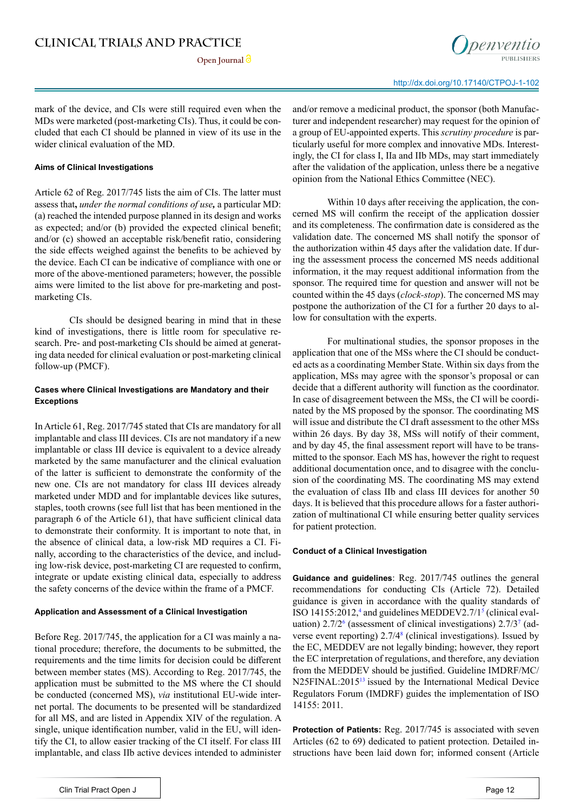

mark of the device, and CIs were still required even when the MDs were marketed (post-marketing CIs). Thus, it could be concluded that each CI should be planned in view of its use in the wider clinical evaluation of the MD.

#### **Aims of Clinical Investigations**

Article 62 of Reg. 2017/745 lists the aim of CIs. The latter must assess that**,** *under the normal conditions of use,* a particular MD: (a) reached the intended purpose planned in its design and works as expected; and/or (b) provided the expected clinical benefit; and/or (c) showed an acceptable risk/benefit ratio, considering the side effects weighed against the benefits to be achieved by the device. Each CI can be indicative of compliance with one or more of the above-mentioned parameters; however, the possible aims were limited to the list above for pre-marketing and postmarketing CIs.

CIs should be designed bearing in mind that in these kind of investigations, there is little room for speculative research. Pre- and post-marketing CIs should be aimed at generating data needed for clinical evaluation or post-marketing clinical follow-up (PMCF).

## **Cases where Clinical Investigations are Mandatory and their Exceptions**

In Article 61, Reg. 2017/745 stated that CIs are mandatory for all implantable and class III devices. CIs are not mandatory if a new implantable or class III device is equivalent to a device already marketed by the same manufacturer and the clinical evaluation of the latter is sufficient to demonstrate the conformity of the new one. CIs are not mandatory for class III devices already marketed under MDD and for implantable devices like sutures, staples, tooth crowns (see full list that has been mentioned in the paragraph 6 of the Article 61), that have sufficient clinical data to demonstrate their conformity. It is important to note that, in the absence of clinical data, a low-risk MD requires a CI. Finally, according to the characteristics of the device, and including low-risk device, post-marketing CI are requested to confirm, integrate or update existing clinical data, especially to address the safety concerns of the device within the frame of a PMCF.

#### **Application and Assessment of a Clinical Investigation**

Before Reg. 2017/745, the application for a CI was mainly a national procedure; therefore, the documents to be submitted, the requirements and the time limits for decision could be different between member states (MS). According to Reg. 2017/745, the application must be submitted to the MS where the CI should be conducted (concerned MS), *via* institutional EU-wide internet portal. The documents to be presented will be standardized for all MS, and are listed in Appendix XIV of the regulation. A single, unique identification number, valid in the EU, will identify the CI, to allow easier tracking of the CI itself. For class III implantable, and class IIb active devices intended to administer

and/or remove a medicinal product, the sponsor (both Manufacturer and independent researcher) may request for the opinion of a group of EU-appointed experts. This *scrutiny procedure* is particularly useful for more complex and innovative MDs. Interestingly, the CI for class I, IIa and IIb MDs, may start immediately after the validation of the application, unless there be a negative opinion from the National Ethics Committee (NEC).

Within 10 days after receiving the application, the concerned MS will confirm the receipt of the application dossier and its completeness. The confirmation date is considered as the validation date. The concerned MS shall notify the sponsor of the authorization within 45 days after the validation date. If during the assessment process the concerned MS needs additional information, it the may request additional information from the sponsor. The required time for question and answer will not be counted within the 45 days (*clock-stop*). The concerned MS may postpone the authorization of the CI for a further 20 days to allow for consultation with the experts.

For multinational studies, the sponsor proposes in the application that one of the MSs where the CI should be conducted acts as a coordinating Member State. Within six days from the application, MSs may agree with the sponsor's proposal or can decide that a different authority will function as the coordinator. In case of disagreement between the MSs, the CI will be coordinated by the MS proposed by the sponsor. The coordinating MS will issue and distribute the CI draft assessment to the other MSs within 26 days. By day 38, MSs will notify of their comment, and by day 45, the final assessment report will have to be transmitted to the sponsor. Each MS has, however the right to request additional documentation once, and to disagree with the conclusion of the coordinating MS. The coordinating MS may extend the evaluation of class IIb and class III devices for another 50 days. It is believed that this procedure allows for a faster authorization of multinational CI while ensuring better quality services for patient protection.

#### **Conduct of a Clinical Investigation**

**Guidance and guidelines**: Reg. 2017/745 outlines the general recommendations for conducting CIs (Article 72). Detailed guidance is given in accordance with the quality standards of ISO 141[5](#page-3-4)5:2012,<sup>4</sup> and guidelines MEDDEV2.7/1<sup>5</sup> (clinical evaluation)  $2.7/2^6$  (assessment of clinical investigations)  $2.7/3^7$  (adverse event reporting) 2.7/4<sup>8</sup> (clinical investigations). Issued by the EC, MEDDEV are not legally binding; however, they report the EC interpretation of regulations, and therefore, any deviation from the MEDDEV should be justified. Guideline IMDRF/MC/ N25FINAL:201[513](#page-4-7) issued by the International Medical Device Regulators Forum (IMDRF) guides the implementation of ISO 14155: 2011.

**Protection of Patients:** Reg. 2017/745 is associated with seven Articles (62 to 69) dedicated to patient protection. Detailed instructions have been laid down for; informed consent (Article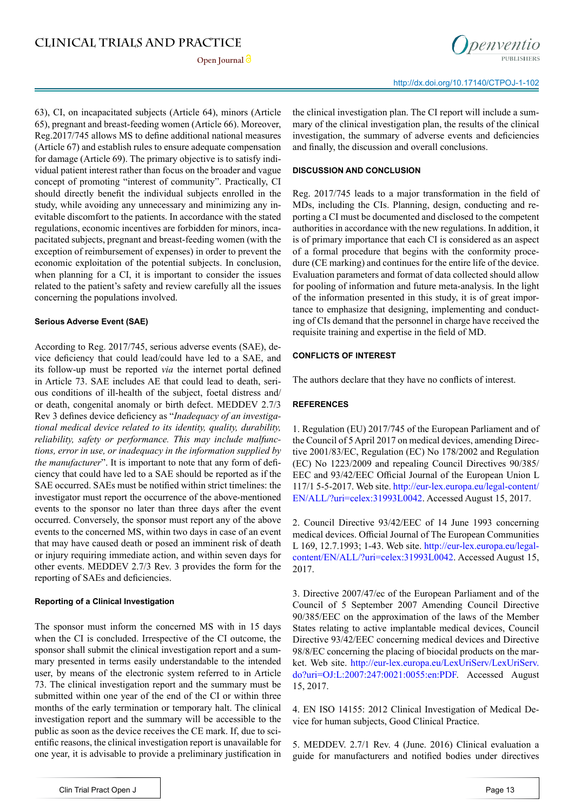63), CI, on incapacitated subjects (Article 64), minors (Article 65), pregnant and breast-feeding women (Article 66). Moreover, Reg.2017/745 allows MS to define additional national measures (Article 67) and establish rules to ensure adequate compensation for damage (Article 69). The primary objective is to satisfy individual patient interest rather than focus on the broader and vague concept of promoting "interest of community". Practically, CI should directly benefit the individual subjects enrolled in the study, while avoiding any unnecessary and minimizing any inevitable discomfort to the patients. In accordance with the stated regulations, economic incentives are forbidden for minors, incapacitated subjects, pregnant and breast-feeding women (with the exception of reimbursement of expenses) in order to prevent the economic exploitation of the potential subjects. In conclusion, when planning for a CI, it is important to consider the issues related to the patient's safety and review carefully all the issues concerning the populations involved.

### **Serious Adverse Event (SAE)**

According to Reg. 2017/745, serious adverse events (SAE), device deficiency that could lead/could have led to a SAE, and its follow-up must be reported *via* the internet portal defined in Article 73. SAE includes AE that could lead to death, serious conditions of ill-health of the subject, foetal distress and/ or death, congenital anomaly or birth defect. MEDDEV 2.7/3 Rev 3 defines device deficiency as "*Inadequacy of an investigational medical device related to its identity, quality, durability, reliability, safety or performance. This may include malfunctions, error in use, or inadequacy in the information supplied by the manufacturer*". It is important to note that any form of deficiency that could have led to a SAE should be reported as if the SAE occurred. SAEs must be notified within strict timelines: the investigator must report the occurrence of the above-mentioned events to the sponsor no later than three days after the event occurred. Conversely, the sponsor must report any of the above events to the concerned MS, within two days in case of an event that may have caused death or posed an imminent risk of death or injury requiring immediate action, and within seven days for other events. MEDDEV 2.7/3 Rev. 3 provides the form for the reporting of SAEs and deficiencies.

#### **Reporting of a Clinical Investigation**

The sponsor must inform the concerned MS with in 15 days when the CI is concluded. Irrespective of the CI outcome, the sponsor shall submit the clinical investigation report and a summary presented in terms easily understandable to the intended user, by means of the electronic system referred to in Article 73. The clinical investigation report and the summary must be submitted within one year of the end of the CI or within three months of the early termination or temporary halt. The clinical investigation report and the summary will be accessible to the public as soon as the device receives the CE mark. If, due to scientific reasons, the clinical investigation report is unavailable for one year, it is advisable to provide a preliminary justification in

the clinical investigation plan. The CI report will include a summary of the clinical investigation plan, the results of the clinical investigation, the summary of adverse events and deficiencies and finally, the discussion and overall conclusions.

## **DISCUSSION AND CONCLUSION**

Reg. 2017/745 leads to a major transformation in the field of MDs, including the CIs. Planning, design, conducting and reporting a CI must be documented and disclosed to the competent authorities in accordance with the new regulations. In addition, it is of primary importance that each CI is considered as an aspect of a formal procedure that begins with the conformity procedure (CE marking) and continues for the entire life of the device. Evaluation parameters and format of data collected should allow for pooling of information and future meta-analysis. In the light of the information presented in this study, it is of great importance to emphasize that designing, implementing and conducting of CIs demand that the personnel in charge have received the requisite training and expertise in the field of MD.

# **CONFLICTS OF INTEREST**

The authors declare that they have no conflicts of interest.

# **REFERENCES**

<span id="page-3-0"></span>1. Regulation (EU) 2017/745 of the European Parliament and of the Council of 5 April 2017 on medical devices, amending Directive 2001/83/EC, Regulation (EC) No 178/2002 and Regulation (EC) No 1223/2009 and repealing Council Directives 90/385/ EEC and 93/42/EEC Official Journal of the European Union L 117/1 5-5-2017. Web site. [http://eur-lex.europa.eu/legal-content/](http://eur-lex.europa.eu/legal-content/EN/ALL/?uri=celex:31993L0042) [EN/ALL/?uri=celex:31993L0042](http://eur-lex.europa.eu/legal-content/EN/ALL/?uri=celex:31993L0042). Accessed August 15, 2017.

<span id="page-3-1"></span>2. Council Directive 93/42/EEC of 14 June 1993 concerning medical devices. Official Journal of The European Communities L 169, 12.7.1993; 1-43. Web site. [http://eur-lex.europa.eu/legal](http://eur-lex.europa.eu/legal-content/EN/ALL/?uri=celex:31993L0042)[content/EN/ALL/?uri=celex:31993L0042](http://eur-lex.europa.eu/legal-content/EN/ALL/?uri=celex:31993L0042). Accessed August 15, 2017.

<span id="page-3-2"></span>3. Directive 2007/47/ec of the European Parliament and of the Council of 5 September 2007 Amending Council Directive 90/385/EEC on the approximation of the laws of the Member States relating to active implantable medical devices, Council Directive 93/42/EEC concerning medical devices and Directive 98/8/EC concerning the placing of biocidal products on the market. Web site. [http://eur-lex.europa.eu/LexUriServ/LexUriServ.](http://eur-lex.europa.eu/LexUriServ/LexUriServ.do?uri=OJ:L:2007:247:0021:0055:en:PDF) [do?uri=OJ:L:2007:247:0021:0055:en:PDF](http://eur-lex.europa.eu/LexUriServ/LexUriServ.do?uri=OJ:L:2007:247:0021:0055:en:PDF). Accessed August 15, 2017.

<span id="page-3-3"></span>4. EN ISO 14155: 2012 Clinical Investigation of Medical Device for human subjects, Good Clinical Practice.

<span id="page-3-4"></span>5. MEDDEV. 2.7/1 Rev. 4 (June. 2016) Clinical evaluation a guide for manufacturers and notified bodies under directives